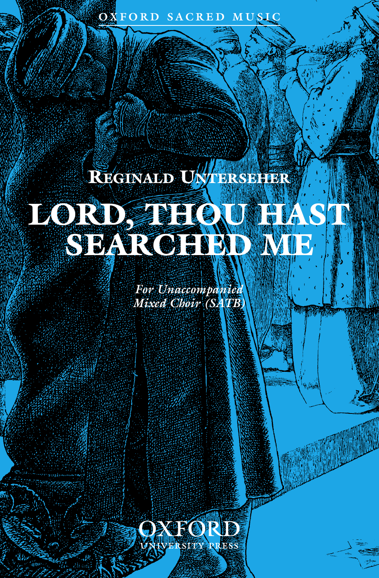## **OXFORD SACRED MUSIC**

## **REGINALD UNTERSEHER** LORD, THOU HAS IN SEARR CHESSINGS

*For Unaccompanied Mixed Choir (SATB)*

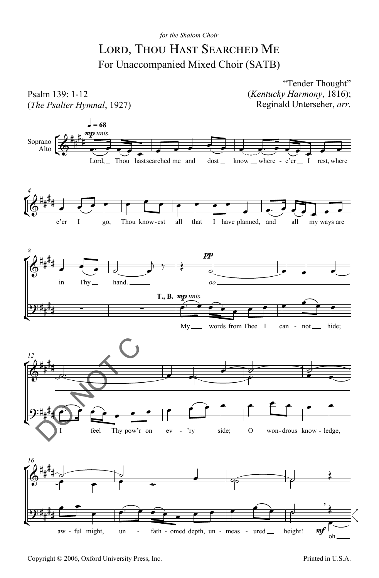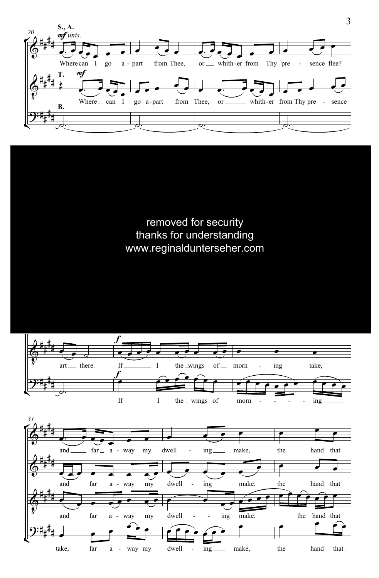

removed for security thanks for understanding www.reginaldunterseher.com